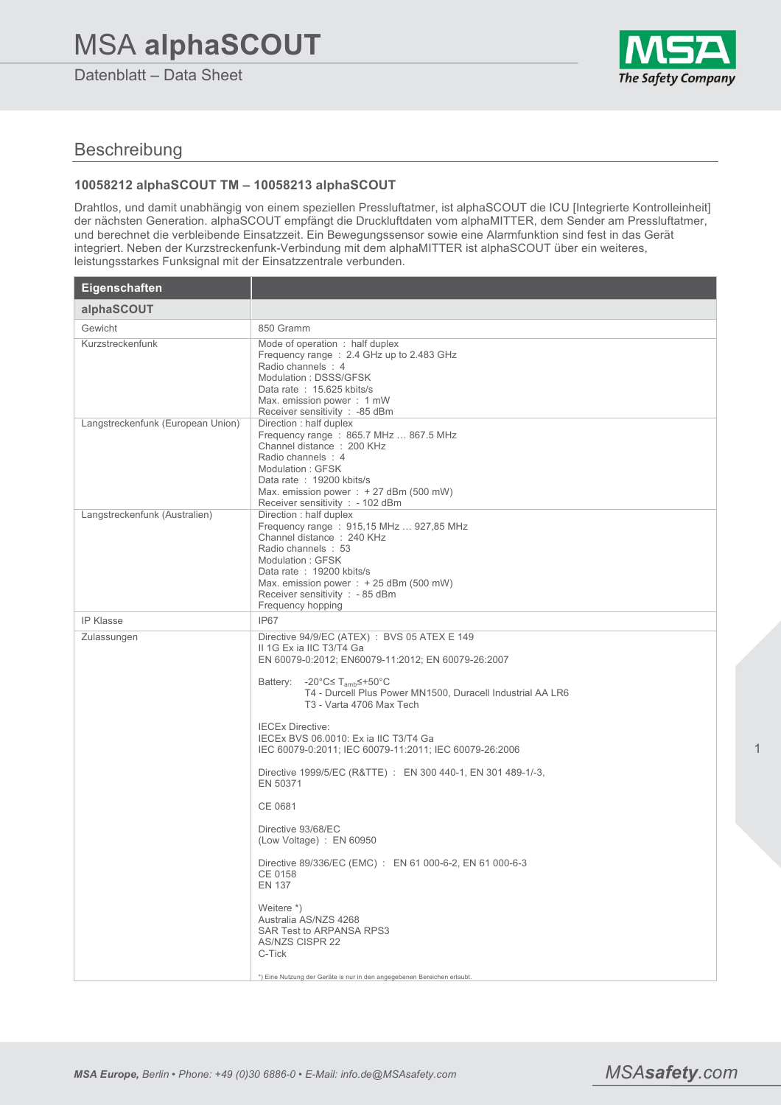# MSA **alphaSCOUT**

Datenblatt – Data Sheet



## Beschreibung

### **10058212 alphaSCOUT TM – 10058213 alphaSCOUT**

Drahtlos, und damit unabhängig von einem speziellen Pressluftatmer, ist alphaSCOUT die ICU [Integrierte Kontrolleinheit] der nächsten Generation. alphaSCOUT empfängt die Druckluftdaten vom alphaMITTER, dem Sender am Pressluftatmer, und berechnet die verbleibende Einsatzzeit. Ein Bewegungssensor sowie eine Alarmfunktion sind fest in das Gerät integriert. Neben der Kurzstreckenfunk-Verbindung mit dem alphaMITTER ist alphaSCOUT über ein weiteres, leistungsstarkes Funksignal mit der Einsatzzentrale verbunden.

| Eigenschaften                     |                                                                                                                                                                                                                                                                                                                                                                                                                                                                                                                                                                                                                                                                                                                                                                                                                         |
|-----------------------------------|-------------------------------------------------------------------------------------------------------------------------------------------------------------------------------------------------------------------------------------------------------------------------------------------------------------------------------------------------------------------------------------------------------------------------------------------------------------------------------------------------------------------------------------------------------------------------------------------------------------------------------------------------------------------------------------------------------------------------------------------------------------------------------------------------------------------------|
| alphaSCOUT                        |                                                                                                                                                                                                                                                                                                                                                                                                                                                                                                                                                                                                                                                                                                                                                                                                                         |
| Gewicht                           | 850 Gramm                                                                                                                                                                                                                                                                                                                                                                                                                                                                                                                                                                                                                                                                                                                                                                                                               |
| Kurzstreckenfunk                  | Mode of operation: half duplex<br>Frequency range: 2.4 GHz up to 2.483 GHz<br>Radio channels : 4<br>Modulation: DSSS/GFSK<br>Data rate: 15.625 kbits/s<br>Max. emission power: 1 mW<br>Receiver sensitivity : -85 dBm                                                                                                                                                                                                                                                                                                                                                                                                                                                                                                                                                                                                   |
| Langstreckenfunk (European Union) | Direction: half duplex<br>Frequency range: 865.7 MHz  867.5 MHz<br>Channel distance: 200 KHz<br>Radio channels : 4<br>Modulation: GFSK<br>Data rate: 19200 kbits/s<br>Max. emission power : $+27$ dBm (500 mW)<br>Receiver sensitivity : - 102 dBm                                                                                                                                                                                                                                                                                                                                                                                                                                                                                                                                                                      |
| Langstreckenfunk (Australien)     | Direction: half duplex<br>Frequency range: 915,15 MHz  927,85 MHz<br>Channel distance: 240 KHz<br>Radio channels: 53<br>Modulation: GFSK<br>Data rate: 19200 kbits/s<br>Max. emission power : $+25$ dBm (500 mW)<br>Receiver sensitivity : - 85 dBm<br>Frequency hopping                                                                                                                                                                                                                                                                                                                                                                                                                                                                                                                                                |
| <b>IP Klasse</b>                  | IP67                                                                                                                                                                                                                                                                                                                                                                                                                                                                                                                                                                                                                                                                                                                                                                                                                    |
| Zulassungen                       | Directive 94/9/EC (ATEX) : BVS 05 ATEX E 149<br>II 1G Ex ia IIC T3/T4 Ga<br>EN 60079-0:2012; EN60079-11:2012; EN 60079-26:2007<br>Battery:<br>-20°C≤ T <sub>amb</sub> ≤+50°C<br>T4 - Durcell Plus Power MN1500, Duracell Industrial AA LR6<br>T3 - Varta 4706 Max Tech<br><b>IECEx Directive:</b><br>IECEX BVS 06.0010: Ex ia IIC T3/T4 Ga<br>IEC 60079-0:2011; IEC 60079-11:2011; IEC 60079-26:2006<br>Directive 1999/5/EC (R&TTE) : EN 300 440-1, EN 301 489-1/-3,<br>EN 50371<br>CE 0681<br>Directive 93/68/EC<br>(Low Voltage) : EN 60950<br>Directive 89/336/EC (EMC) : EN 61 000-6-2, EN 61 000-6-3<br>CE 0158<br><b>EN 137</b><br>Weitere *)<br>Australia AS/NZS 4268<br>SAR Test to ARPANSA RPS3<br><b>AS/NZS CISPR 22</b><br>C-Tick<br>*) Eine Nutzung der Geräte is nur in den angegebenen Bereichen erlaubt. |

1